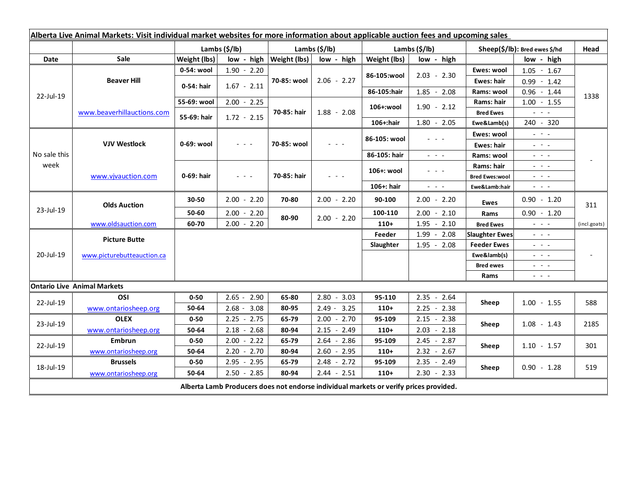| Alberta Live Animal Markets: Visit individual market websites for more information about applicable auction fees and upcoming sales |                                    |               |                                                                                                                                                      |                     |                 |               |                                                                                                                           |                               |                                                                                                                                                                                                                                                                                                                                                                                                                                                |              |
|-------------------------------------------------------------------------------------------------------------------------------------|------------------------------------|---------------|------------------------------------------------------------------------------------------------------------------------------------------------------|---------------------|-----------------|---------------|---------------------------------------------------------------------------------------------------------------------------|-------------------------------|------------------------------------------------------------------------------------------------------------------------------------------------------------------------------------------------------------------------------------------------------------------------------------------------------------------------------------------------------------------------------------------------------------------------------------------------|--------------|
|                                                                                                                                     |                                    | Lambs (\$/lb) |                                                                                                                                                      | Lambs (\$/lb)       |                 | Lambs (\$/lb) |                                                                                                                           | Sheep(\$/lb): Bred ewes \$/hd |                                                                                                                                                                                                                                                                                                                                                                                                                                                | Head         |
| Date                                                                                                                                | Sale                               | Weight (lbs)  | low - high                                                                                                                                           | <b>Weight (lbs)</b> | low - high      | Weight (lbs)  | low - high                                                                                                                |                               | low - high                                                                                                                                                                                                                                                                                                                                                                                                                                     |              |
| 22-Jul-19                                                                                                                           | <b>Beaver Hill</b>                 | 0-54: wool    | $1.90 - 2.20$                                                                                                                                        | 70-85: wool         | $2.06 - 2.27$   | 86-105:wool   | $2.03 - 2.30$                                                                                                             | Ewes: wool                    | $1.05 - 1.67$                                                                                                                                                                                                                                                                                                                                                                                                                                  |              |
|                                                                                                                                     |                                    | 0-54: hair    | $1.67 - 2.11$                                                                                                                                        |                     |                 |               |                                                                                                                           | <b>Ewes: hair</b>             | $0.99 - 1.42$                                                                                                                                                                                                                                                                                                                                                                                                                                  |              |
|                                                                                                                                     |                                    |               |                                                                                                                                                      |                     |                 | 86-105:hair   | $1.85 - 2.08$                                                                                                             | Rams: wool                    | $0.96 - 1.44$                                                                                                                                                                                                                                                                                                                                                                                                                                  | 1338         |
|                                                                                                                                     | www.beaverhillauctions.com         | 55-69: wool   | $2.00 - 2.25$                                                                                                                                        | 70-85: hair         | $1.88 - 2.08$   | 106+:wool     | $1.90 - 2.12$                                                                                                             | Rams: hair                    | $1.00 - 1.55$                                                                                                                                                                                                                                                                                                                                                                                                                                  |              |
|                                                                                                                                     |                                    | 55-69: hair   | $1.72 - 2.15$                                                                                                                                        |                     |                 |               |                                                                                                                           | <b>Bred Ewes</b>              | $\omega_{\rm{eff}}$ and $\omega_{\rm{eff}}$                                                                                                                                                                                                                                                                                                                                                                                                    |              |
|                                                                                                                                     |                                    |               |                                                                                                                                                      |                     |                 | 106+:hair     | $1.80 - 2.05$                                                                                                             | Ewe&Lamb(s)                   | 240 - 320                                                                                                                                                                                                                                                                                                                                                                                                                                      |              |
| No sale this<br>week                                                                                                                | <b>VJV Westlock</b>                | 0-69: wool    | $\frac{1}{2} \left( \frac{1}{2} \right) \left( \frac{1}{2} \right) \left( \frac{1}{2} \right) \left( \frac{1}{2} \right) \left( \frac{1}{2} \right)$ | 70-85: wool         | $ -$            | 86-105: wool  | $\frac{1}{2} \left( \frac{1}{2} \right) \left( \frac{1}{2} \right) \left( \frac{1}{2} \right) \left( \frac{1}{2} \right)$ | Ewes: wool                    | $\omega_{\rm{eff}}=0.1$                                                                                                                                                                                                                                                                                                                                                                                                                        |              |
|                                                                                                                                     |                                    |               |                                                                                                                                                      |                     |                 |               |                                                                                                                           | <b>Ewes: hair</b>             | $\frac{1}{2} \left( \frac{1}{2} \right) \frac{1}{2} \left( \frac{1}{2} \right) \frac{1}{2} \left( \frac{1}{2} \right) \frac{1}{2} \left( \frac{1}{2} \right) \frac{1}{2} \left( \frac{1}{2} \right) \frac{1}{2} \left( \frac{1}{2} \right) \frac{1}{2} \left( \frac{1}{2} \right) \frac{1}{2} \left( \frac{1}{2} \right) \frac{1}{2} \left( \frac{1}{2} \right) \frac{1}{2} \left( \frac{1}{2} \right) \frac{1}{2} \left( \frac{1}{2} \right)$ |              |
|                                                                                                                                     |                                    |               |                                                                                                                                                      |                     |                 | 86-105: hair  | $\frac{1}{2} \left( \frac{1}{2} \right) = \frac{1}{2} \left( \frac{1}{2} \right) = \frac{1}{2}$                           | Rams: wool                    | $  -$                                                                                                                                                                                                                                                                                                                                                                                                                                          |              |
|                                                                                                                                     | www.vivauction.com                 | 0-69: hair    | $  -$                                                                                                                                                | 70-85: hair         | $  -$           | 106+: wool    | - - -                                                                                                                     | Rams: hair                    | 20 A G                                                                                                                                                                                                                                                                                                                                                                                                                                         |              |
|                                                                                                                                     |                                    |               |                                                                                                                                                      |                     |                 |               |                                                                                                                           | <b>Bred Ewes:wool</b>         | $  -$                                                                                                                                                                                                                                                                                                                                                                                                                                          |              |
|                                                                                                                                     |                                    |               |                                                                                                                                                      |                     |                 | 106+: hair    | $\omega_{\rm{eff}}$ and $\omega_{\rm{eff}}$                                                                               | Ewe&Lamb:hair                 | $\omega_{\rm{c}}$ , $\omega_{\rm{c}}$ , $\omega_{\rm{c}}$                                                                                                                                                                                                                                                                                                                                                                                      |              |
| 23-Jul-19                                                                                                                           | <b>Olds Auction</b>                | 30-50         | $2.00 - 2.20$                                                                                                                                        | 70-80               | $2.00 - 2.20$   | 90-100        | $2.00 - 2.20$                                                                                                             | Ewes                          | $0.90 - 1.20$                                                                                                                                                                                                                                                                                                                                                                                                                                  | 311          |
|                                                                                                                                     |                                    | 50-60         | $2.00 - 2.20$                                                                                                                                        | 80-90               | $2.00 - 2.20$   | 100-110       | $2.00 - 2.10$                                                                                                             | Rams                          | $0.90 - 1.20$                                                                                                                                                                                                                                                                                                                                                                                                                                  |              |
|                                                                                                                                     | www.oldsauction.com                | 60-70         | $2.00 - 2.20$                                                                                                                                        |                     |                 | $110+$        | 1.95<br>$-2.10$                                                                                                           | <b>Bred Ewes</b>              | $\frac{1}{2} \left( \frac{1}{2} \right) = \frac{1}{2} \left( \frac{1}{2} \right)$                                                                                                                                                                                                                                                                                                                                                              | (incl.goats) |
| 20-Jul-19                                                                                                                           | <b>Picture Butte</b>               |               |                                                                                                                                                      |                     |                 | Feeder        | $1.99 - 2.08$                                                                                                             | <b>Slaughter Ewes</b>         | $\frac{1}{2} \left( \frac{1}{2} \right) \left( \frac{1}{2} \right) \left( \frac{1}{2} \right) \left( \frac{1}{2} \right)$                                                                                                                                                                                                                                                                                                                      |              |
|                                                                                                                                     | www.picturebutteauction.ca         |               |                                                                                                                                                      |                     |                 | Slaughter     | $1.95 - 2.08$                                                                                                             | <b>Feeder Ewes</b>            | $\frac{1}{2} \left( \frac{1}{2} \right) = \frac{1}{2} \left( \frac{1}{2} \right)$                                                                                                                                                                                                                                                                                                                                                              |              |
|                                                                                                                                     |                                    |               |                                                                                                                                                      |                     |                 |               |                                                                                                                           | Ewe&lamb(s)                   | $\omega_{\rm{eff}}$ and $\omega_{\rm{eff}}$                                                                                                                                                                                                                                                                                                                                                                                                    |              |
|                                                                                                                                     |                                    |               |                                                                                                                                                      |                     |                 |               |                                                                                                                           | <b>Bred ewes</b>              | $\omega_{\rm{eff}}$ and $\omega_{\rm{eff}}$                                                                                                                                                                                                                                                                                                                                                                                                    |              |
|                                                                                                                                     |                                    |               |                                                                                                                                                      |                     |                 |               |                                                                                                                           | Rams                          | $\frac{1}{2} \left( \frac{1}{2} \right) = \frac{1}{2} \left( \frac{1}{2} \right)$                                                                                                                                                                                                                                                                                                                                                              |              |
|                                                                                                                                     | <b>Ontario Live Animal Markets</b> |               |                                                                                                                                                      |                     |                 |               |                                                                                                                           |                               |                                                                                                                                                                                                                                                                                                                                                                                                                                                |              |
| 22-Jul-19                                                                                                                           | OSI                                | $0 - 50$      | $2.65 - 2.90$                                                                                                                                        | 65-80               | $2.80 - 3.03$   | 95-110        | $2.35 - 2.64$                                                                                                             | Sheep                         | $1.00 - 1.55$                                                                                                                                                                                                                                                                                                                                                                                                                                  | 588          |
|                                                                                                                                     | www.ontariosheep.org               | 50-64         | $2.68 - 3.08$                                                                                                                                        | 80-95               | $2.49 - 3.25$   | $110+$        | $2.25 - 2.38$                                                                                                             |                               |                                                                                                                                                                                                                                                                                                                                                                                                                                                |              |
| 23-Jul-19                                                                                                                           | <b>OLEX</b>                        | $0 - 50$      | $2.25 - 2.75$                                                                                                                                        | 65-79               | $2.00 - 2.70$   | 95-109        | $2.15 - 2.38$                                                                                                             | Sheep                         | $1.08 - 1.43$                                                                                                                                                                                                                                                                                                                                                                                                                                  | 2185         |
|                                                                                                                                     | www.ontariosheep.org               | 50-64         | 2.68<br>2.18<br>$\sim$                                                                                                                               | 80-94               | $-2.49$<br>2.15 | $110+$        | $2.03 - 2.18$                                                                                                             |                               |                                                                                                                                                                                                                                                                                                                                                                                                                                                |              |
| 22-Jul-19                                                                                                                           | Embrun                             | $0 - 50$      | $2.00 - 2.22$                                                                                                                                        | 65-79               | $2.64 - 2.86$   | 95-109        | $2.45 - 2.87$                                                                                                             | Sheep                         | $1.10 - 1.57$                                                                                                                                                                                                                                                                                                                                                                                                                                  | 301          |
|                                                                                                                                     | www.ontariosheep.org               | 50-64         | $2.20 - 2.70$                                                                                                                                        | 80-94               | $2.60 - 2.95$   | $110+$        | $2.32 - 2.67$                                                                                                             |                               |                                                                                                                                                                                                                                                                                                                                                                                                                                                |              |
| 18-Jul-19                                                                                                                           | <b>Brussels</b>                    | $0 - 50$      | $2.95 - 2.95$                                                                                                                                        | 65-79               | $2.48 - 2.72$   | 95-109        | $2.35 - 2.49$                                                                                                             | Sheep                         | $0.90 - 1.28$                                                                                                                                                                                                                                                                                                                                                                                                                                  | 519          |
|                                                                                                                                     | www.ontariosheep.org               | 50-64         | $2.50 - 2.85$                                                                                                                                        | 80-94               | $2.44 - 2.51$   | $110+$        | $2.30 - 2.33$                                                                                                             |                               |                                                                                                                                                                                                                                                                                                                                                                                                                                                |              |
| Alberta Lamb Producers does not endorse individual markets or verify prices provided.                                               |                                    |               |                                                                                                                                                      |                     |                 |               |                                                                                                                           |                               |                                                                                                                                                                                                                                                                                                                                                                                                                                                |              |